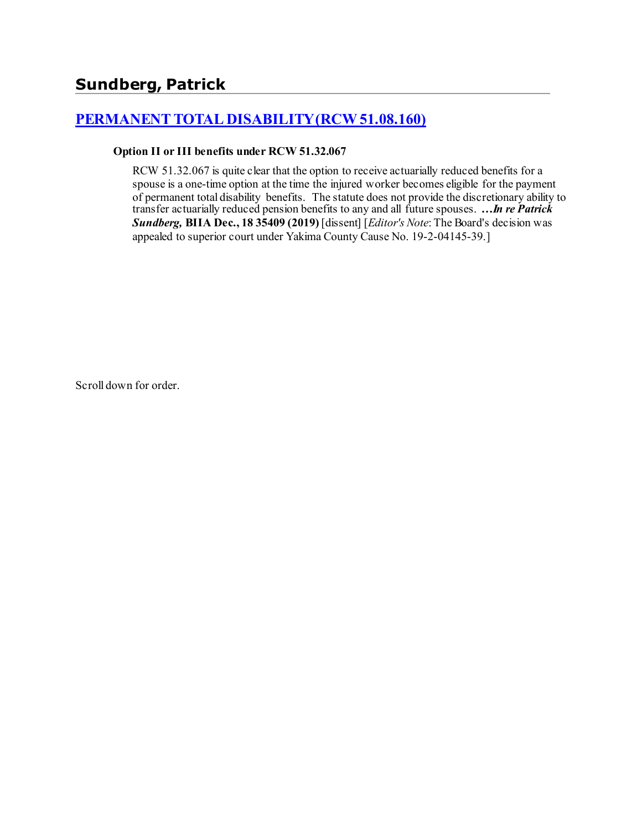# **[PERMANENT TOTAL DISABILITY \(RCW 51.08.160\)](http://www.biia.wa.gov/SDSubjectIndex.html#PERMANENT_TOTAL_DISABILITY)**

#### **Option II or III benefits under RCW 51.32.067**

RCW 51.32.067 is quite clear that the option to receive actuarially reduced benefits for a spouse is a one-time option at the time the injured worker becomes eligible for the payment of permanent total disability benefits. The statute does not provide the discretionary ability to transfer actuarially reduced pension benefits to any and all future spouses. *…In re Patrick Sundberg,* **BIIA Dec., 18 35409 (2019)** [dissent] [*Editor's Note*: The Board's decision was appealed to superior court under Yakima County Cause No. 19-2-04145-39.]

Scroll down for order.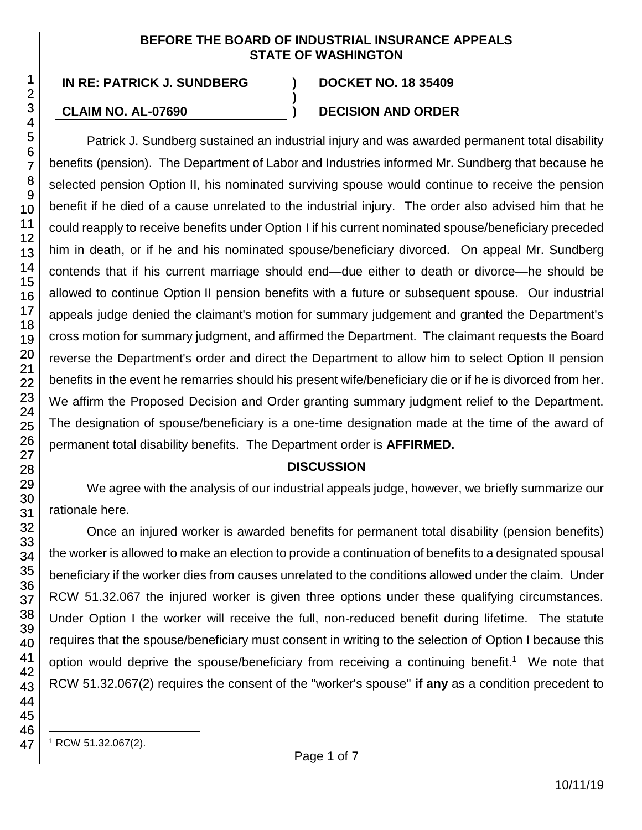### **BEFORE THE BOARD OF INDUSTRIAL INSURANCE APPEALS STATE OF WASHINGTON**

**)**

**IN RE: PATRICK J. SUNDBERG ) DOCKET NO. 18 35409**

## **CLAIM NO. AL-07690 ) DECISION AND ORDER**

Patrick J. Sundberg sustained an industrial injury and was awarded permanent total disability benefits (pension). The Department of Labor and Industries informed Mr. Sundberg that because he selected pension Option II, his nominated surviving spouse would continue to receive the pension benefit if he died of a cause unrelated to the industrial injury. The order also advised him that he could reapply to receive benefits under Option I if his current nominated spouse/beneficiary preceded him in death, or if he and his nominated spouse/beneficiary divorced. On appeal Mr. Sundberg contends that if his current marriage should end—due either to death or divorce—he should be allowed to continue Option II pension benefits with a future or subsequent spouse. Our industrial appeals judge denied the claimant's motion for summary judgement and granted the Department's cross motion for summary judgment, and affirmed the Department. The claimant requests the Board reverse the Department's order and direct the Department to allow him to select Option II pension benefits in the event he remarries should his present wife/beneficiary die or if he is divorced from her. We affirm the Proposed Decision and Order granting summary judgment relief to the Department. The designation of spouse/beneficiary is a one-time designation made at the time of the award of permanent total disability benefits. The Department order is **AFFIRMED.**

## **DISCUSSION**

We agree with the analysis of our industrial appeals judge, however, we briefly summarize our rationale here.

Once an injured worker is awarded benefits for permanent total disability (pension benefits) the worker is allowed to make an election to provide a continuation of benefits to a designated spousal beneficiary if the worker dies from causes unrelated to the conditions allowed under the claim. Under RCW 51.32.067 the injured worker is given three options under these qualifying circumstances. Under Option I the worker will receive the full, non-reduced benefit during lifetime. The statute requires that the spouse/beneficiary must consent in writing to the selection of Option I because this option would deprive the spouse/beneficiary from receiving a continuing benefit.<sup>1</sup> We note that RCW 51.32.067(2) requires the consent of the "worker's spouse" **if any** as a condition precedent to

> l <sup>1</sup> RCW 51.32.067(2).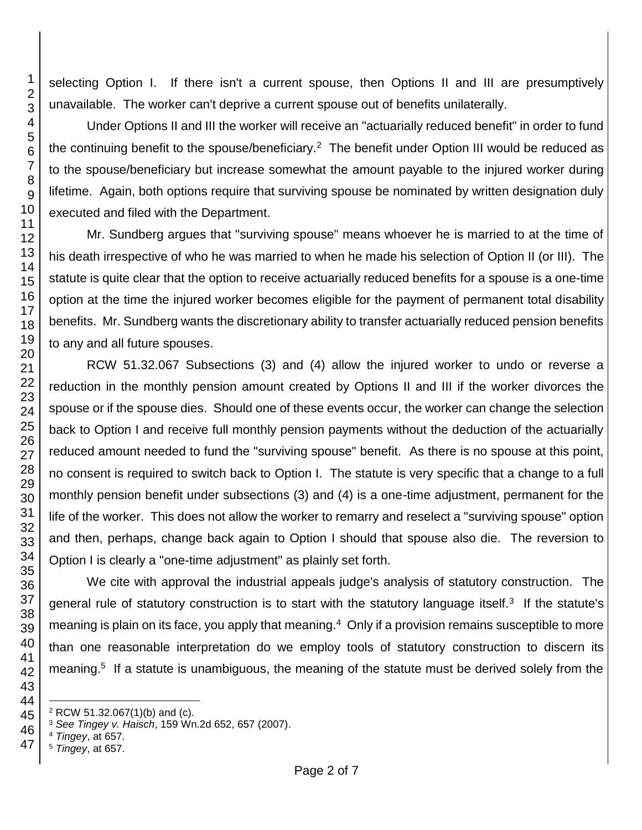selecting Option I. If there isn't a current spouse, then Options II and III are presumptively unavailable. The worker can't deprive a current spouse out of benefits unilaterally.

Under Options II and III the worker will receive an "actuarially reduced benefit" in order to fund the continuing benefit to the spouse/beneficiary.<sup>2</sup> The benefit under Option III would be reduced as to the spouse/beneficiary but increase somewhat the amount payable to the injured worker during lifetime. Again, both options require that surviving spouse be nominated by written designation duly executed and filed with the Department.

Mr. Sundberg argues that "surviving spouse" means whoever he is married to at the time of his death irrespective of who he was married to when he made his selection of Option II (or III). The statute is quite clear that the option to receive actuarially reduced benefits for a spouse is a one-time option at the time the injured worker becomes eligible for the payment of permanent total disability benefits. Mr. Sundberg wants the discretionary ability to transfer actuarially reduced pension benefits to any and all future spouses.

RCW 51.32.067 Subsections (3) and (4) allow the injured worker to undo or reverse a reduction in the monthly pension amount created by Options II and III if the worker divorces the spouse or if the spouse dies. Should one of these events occur, the worker can change the selection back to Option I and receive full monthly pension payments without the deduction of the actuarially reduced amount needed to fund the "surviving spouse" benefit. As there is no spouse at this point, no consent is required to switch back to Option I. The statute is very specific that a change to a full monthly pension benefit under subsections (3) and (4) is a one-time adjustment, permanent for the life of the worker. This does not allow the worker to remarry and reselect a "surviving spouse" option and then, perhaps, change back again to Option I should that spouse also die. The reversion to Option I is clearly a "one-time adjustment" as plainly set forth.

We cite with approval the industrial appeals judge's analysis of statutory construction. The general rule of statutory construction is to start with the statutory language itself. $3$  If the statute's meaning is plain on its face, you apply that meaning.<sup>4</sup> Only if a provision remains susceptible to more than one reasonable interpretation do we employ tools of statutory construction to discern its meaning.<sup>5</sup> If a statute is unambiguous, the meaning of the statute must be derived solely from the

*Tingey*, at 657.

l RCW 51.32.067(1)(b) and (c).

*See Tingey v. Haisch*, 159 Wn.2d 652, 657 (2007).

*Tingey*, at 657.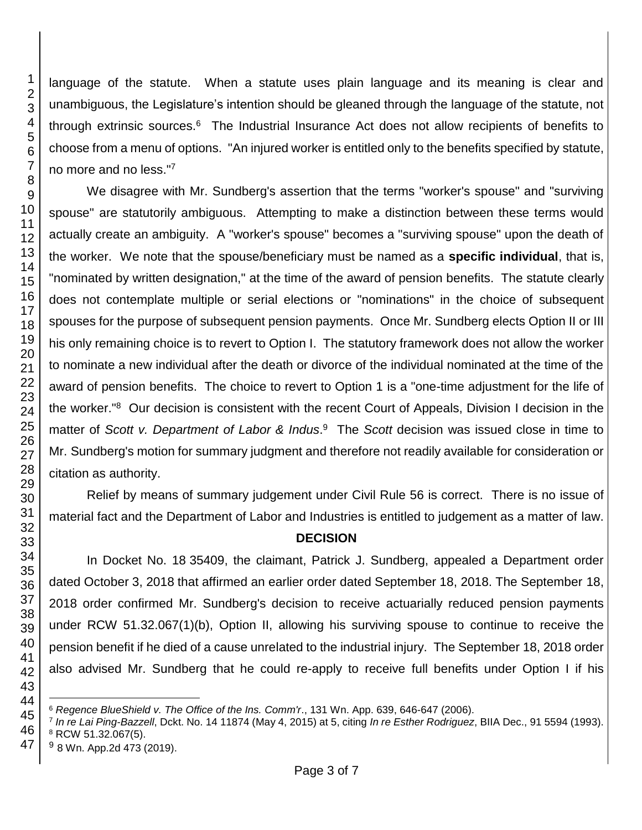language of the statute. When a statute uses plain language and its meaning is clear and unambiguous, the Legislature's intention should be gleaned through the language of the statute, not through extrinsic sources.<sup>6</sup> The Industrial Insurance Act does not allow recipients of benefits to choose from a menu of options. "An injured worker is entitled only to the benefits specified by statute, no more and no less." 7

We disagree with Mr. Sundberg's assertion that the terms "worker's spouse" and "surviving spouse" are statutorily ambiguous. Attempting to make a distinction between these terms would actually create an ambiguity. A "worker's spouse" becomes a "surviving spouse" upon the death of the worker. We note that the spouse/beneficiary must be named as a **specific individual**, that is, "nominated by written designation," at the time of the award of pension benefits. The statute clearly does not contemplate multiple or serial elections or "nominations" in the choice of subsequent spouses for the purpose of subsequent pension payments. Once Mr. Sundberg elects Option II or III his only remaining choice is to revert to Option I. The statutory framework does not allow the worker to nominate a new individual after the death or divorce of the individual nominated at the time of the award of pension benefits. The choice to revert to Option 1 is a "one-time adjustment for the life of the worker."<sup>8</sup> Our decision is consistent with the recent Court of Appeals, Division I decision in the matter of *Scott v. Department of Labor & Indus*. <sup>9</sup> The *Scott* decision was issued close in time to Mr. Sundberg's motion for summary judgment and therefore not readily available for consideration or citation as authority.

Relief by means of summary judgement under Civil Rule 56 is correct. There is no issue of material fact and the Department of Labor and Industries is entitled to judgement as a matter of law.

# **DECISION**

In Docket No. 18 35409, the claimant, Patrick J. Sundberg, appealed a Department order dated October 3, 2018 that affirmed an earlier order dated September 18, 2018. The September 18, 2018 order confirmed Mr. Sundberg's decision to receive actuarially reduced pension payments under RCW 51.32.067(1)(b), Option II, allowing his surviving spouse to continue to receive the pension benefit if he died of a cause unrelated to the industrial injury. The September 18, 2018 order also advised Mr. Sundberg that he could re-apply to receive full benefits under Option I if his

*Regence BlueShield v. The Office of the Ins. Comm'r*., 131 Wn. App. 639, 646-647 (2006).

 *In re Lai Ping-Bazzell*, Dckt. No. 14 11874 (May 4, 2015) at 5, citing *In re Esther Rodriguez*, BIIA Dec., 91 5594 (1993). RCW 51.32.067(5).

<sup>&</sup>lt;sup>9</sup> 8 Wn. App.2d 473 (2019).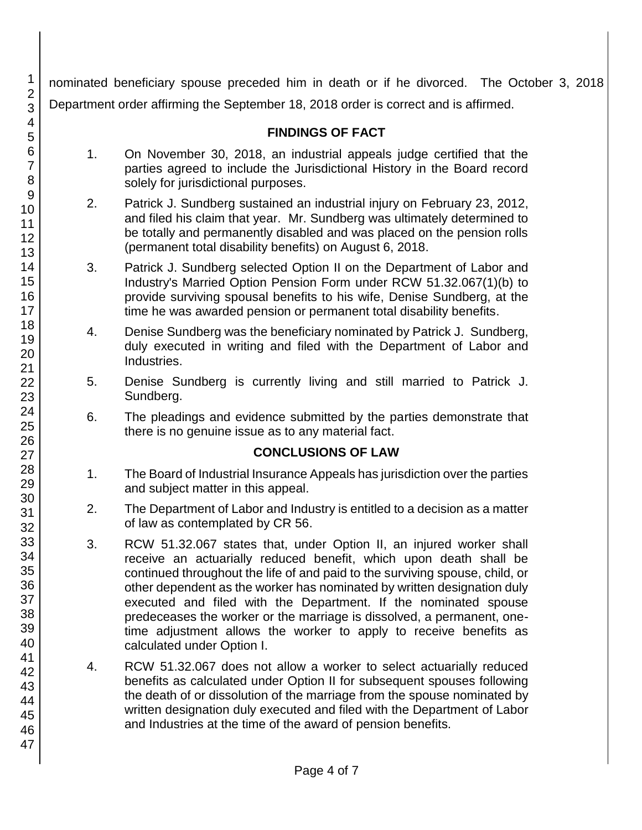nominated beneficiary spouse preceded him in death or if he divorced. The October 3, 2018 Department order affirming the September 18, 2018 order is correct and is affirmed.

# **FINDINGS OF FACT**

- 1. On November 30, 2018, an industrial appeals judge certified that the parties agreed to include the Jurisdictional History in the Board record solely for jurisdictional purposes.
- 2. Patrick J. Sundberg sustained an industrial injury on February 23, 2012, and filed his claim that year. Mr. Sundberg was ultimately determined to be totally and permanently disabled and was placed on the pension rolls (permanent total disability benefits) on August 6, 2018.
- 3. Patrick J. Sundberg selected Option II on the Department of Labor and Industry's Married Option Pension Form under RCW 51.32.067(1)(b) to provide surviving spousal benefits to his wife, Denise Sundberg, at the time he was awarded pension or permanent total disability benefits.
- 4. Denise Sundberg was the beneficiary nominated by Patrick J. Sundberg, duly executed in writing and filed with the Department of Labor and Industries.
- 5. Denise Sundberg is currently living and still married to Patrick J. Sundberg.
- 6. The pleadings and evidence submitted by the parties demonstrate that there is no genuine issue as to any material fact.

## **CONCLUSIONS OF LAW**

- 1. The Board of Industrial Insurance Appeals has jurisdiction over the parties and subject matter in this appeal.
- 2. The Department of Labor and Industry is entitled to a decision as a matter of law as contemplated by CR 56.
- 3. RCW 51.32.067 states that, under Option II, an injured worker shall receive an actuarially reduced benefit, which upon death shall be continued throughout the life of and paid to the surviving spouse, child, or other dependent as the worker has nominated by written designation duly executed and filed with the Department. If the nominated spouse predeceases the worker or the marriage is dissolved, a permanent, onetime adjustment allows the worker to apply to receive benefits as calculated under Option I.
- 4. RCW 51.32.067 does not allow a worker to select actuarially reduced benefits as calculated under Option II for subsequent spouses following the death of or dissolution of the marriage from the spouse nominated by written designation duly executed and filed with the Department of Labor and Industries at the time of the award of pension benefits.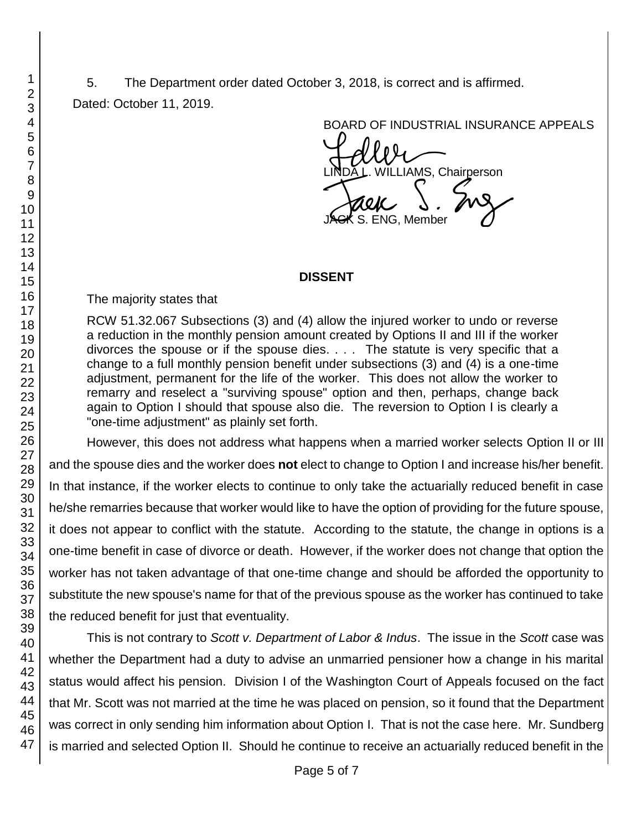# 5. The Department order dated October 3, 2018, is correct and is affirmed. Dated: October 11, 2019.

BOARD OF INDUSTRIAL INSURANCE APPEALS

BOARD OF INDUSTRIAL INSURAM<br>LINDA L. WILLIAMS, Chairperson<br>JAGK S. ENG, Member S. ENG, Member

## **DISSENT**

The majority states that

RCW 51.32.067 Subsections (3) and (4) allow the injured worker to undo or reverse a reduction in the monthly pension amount created by Options II and III if the worker divorces the spouse or if the spouse dies. . . . The statute is very specific that a change to a full monthly pension benefit under subsections (3) and (4) is a one-time adjustment, permanent for the life of the worker. This does not allow the worker to remarry and reselect a "surviving spouse" option and then, perhaps, change back again to Option I should that spouse also die. The reversion to Option I is clearly a "one-time adjustment" as plainly set forth.

However, this does not address what happens when a married worker selects Option II or III and the spouse dies and the worker does **not** elect to change to Option I and increase his/her benefit. In that instance, if the worker elects to continue to only take the actuarially reduced benefit in case he/she remarries because that worker would like to have the option of providing for the future spouse, it does not appear to conflict with the statute. According to the statute, the change in options is a one-time benefit in case of divorce or death. However, if the worker does not change that option the worker has not taken advantage of that one-time change and should be afforded the opportunity to substitute the new spouse's name for that of the previous spouse as the worker has continued to take the reduced benefit for just that eventuality.

This is not contrary to *Scott v. Department of Labor & Indus*. The issue in the *Scott* case was whether the Department had a duty to advise an unmarried pensioner how a change in his marital status would affect his pension. Division I of the Washington Court of Appeals focused on the fact that Mr. Scott was not married at the time he was placed on pension, so it found that the Department was correct in only sending him information about Option I. That is not the case here. Mr. Sundberg is married and selected Option II. Should he continue to receive an actuarially reduced benefit in the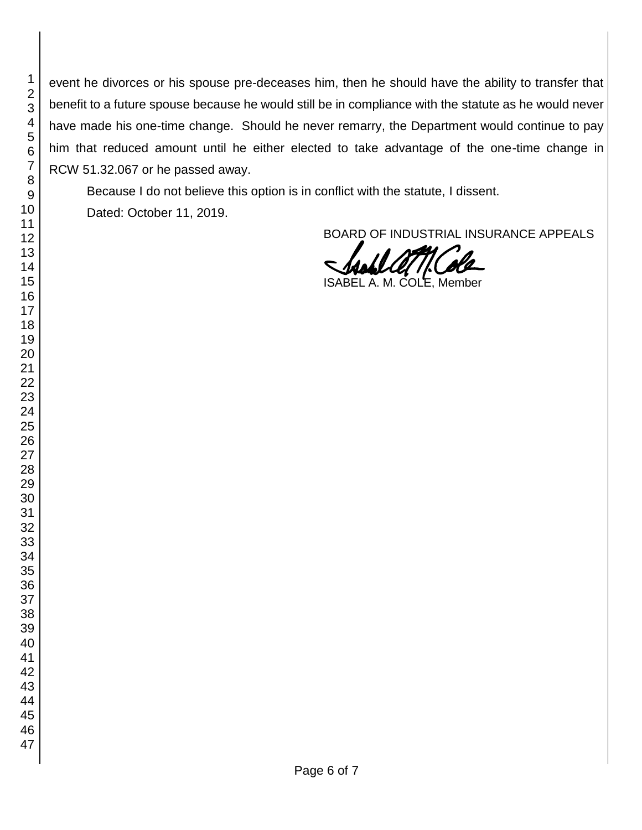event he divorces or his spouse pre-deceases him, then he should have the ability to transfer that benefit to a future spouse because he would still be in compliance with the statute as he would never have made his one-time change. Should he never remarry, the Department would continue to pay him that reduced amount until he either elected to take advantage of the one-time change in RCW 51.32.067 or he passed away.

Because I do not believe this option is in conflict with the statute, I dissent.

Dated: October 11, 2019.

BOARD OF INDUSTRIAL INSURANCE APPEALS

ISABEL A. M. COLE, Member